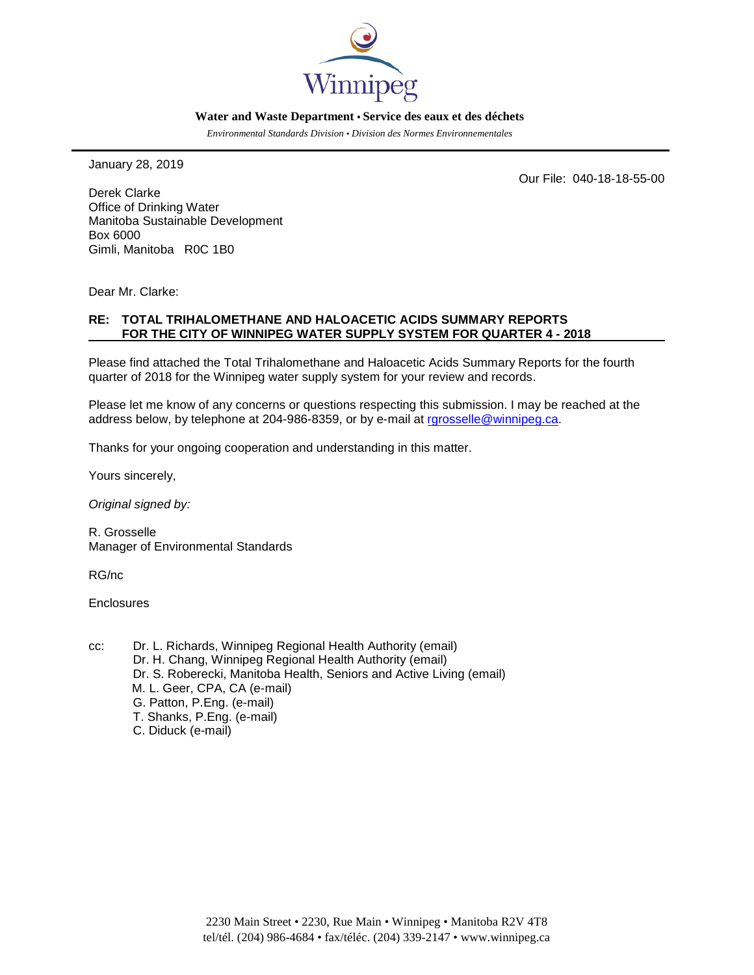

#### **Water and Waste Department • Service des eaux et des déchets**

*Environmental Standards Division • Division des Normes Environnementales*

January 28, 2019

Our File: 040-18-18-55-00

Derek Clarke Office of Drinking Water Manitoba Sustainable Development Box 6000 Gimli, Manitoba R0C 1B0

Dear Mr. Clarke:

### **RE: TOTAL TRIHALOMETHANE AND HALOACETIC ACIDS SUMMARY REPORTS FOR THE CITY OF WINNIPEG WATER SUPPLY SYSTEM FOR QUARTER 4 - 2018**

Please find attached the Total Trihalomethane and Haloacetic Acids Summary Reports for the fourth quarter of 2018 for the Winnipeg water supply system for your review and records.

Please let me know of any concerns or questions respecting this submission. I may be reached at the address below, by telephone at 204-986-8359, or by e-mail at rarosselle@winnipeg.ca.

Thanks for your ongoing cooperation and understanding in this matter.

Yours sincerely,

*Original signed by:*

R. Grosselle Manager of Environmental Standards

RG/nc

**Enclosures** 

- cc: Dr. L. Richards, Winnipeg Regional Health Authority (email) Dr. H. Chang, Winnipeg Regional Health Authority (email) Dr. S. Roberecki, Manitoba Health, Seniors and Active Living (email) M. L. Geer, CPA, CA (e-mail) G. Patton, P.Eng. (e-mail) T. Shanks, P.Eng. (e-mail)
	- C. Diduck (e-mail)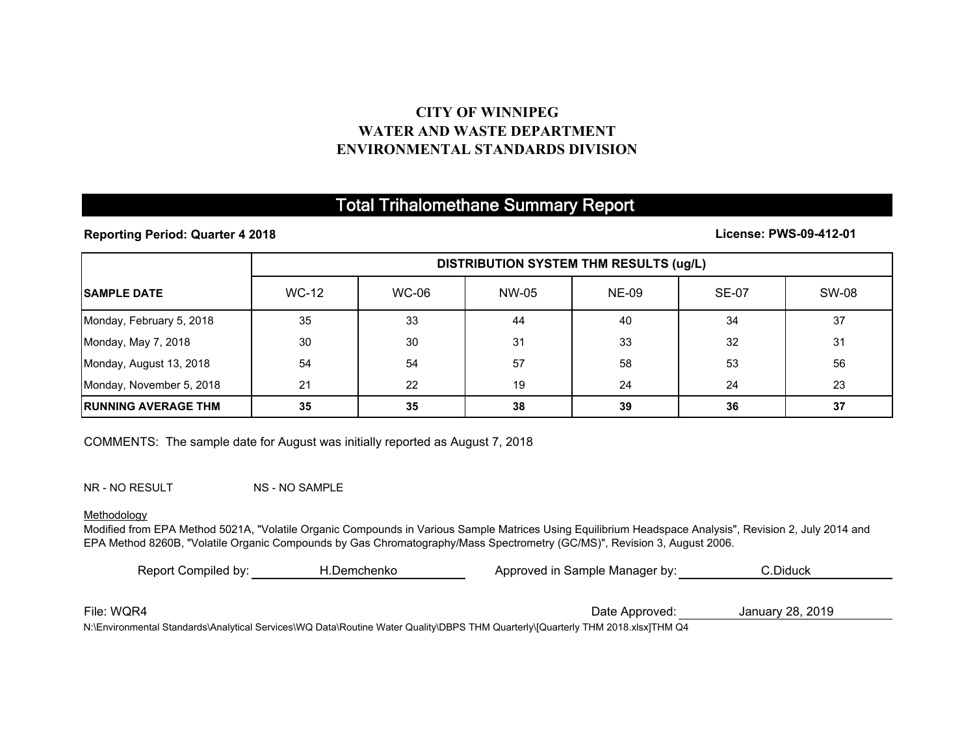## **CITY OF WINNIPEGWATER AND WASTE DEPARTMENTENVIRONMENTAL STANDARDS DIVISION**

# Total Trihalomethane Summary Report

**Reporting Period: Quarter 4 2018**

**License: PWS-09-412-01**

|                             | <b>DISTRIBUTION SYSTEM THM RESULTS (ug/L)</b> |       |       |              |              |              |
|-----------------------------|-----------------------------------------------|-------|-------|--------------|--------------|--------------|
| <b>ISAMPLE DATE</b>         | <b>WC-12</b>                                  | WC-06 | NW-05 | <b>NE-09</b> | <b>SE-07</b> | <b>SW-08</b> |
| Monday, February 5, 2018    | 35                                            | 33    | 44    | 40           | 34           | 37           |
| Monday, May 7, 2018         | 30                                            | 30    | 31    | 33           | 32           | 31           |
| Monday, August 13, 2018     | 54                                            | 54    | 57    | 58           | 53           | 56           |
| Monday, November 5, 2018    | 21                                            | 22    | 19    | 24           | 24           | 23           |
| <b>IRUNNING AVERAGE THM</b> | 35                                            | 35    | 38    | 39           | 36           | 37           |

COMMENTS: The sample date for August was initially reported as August 7, 2018

NR - NO RESULT NS - NO SAMPLE

#### Methodology

Modified from EPA Method 5021A, "Volatile Organic Compounds in Various Sample Matrices Using Equilibrium Headspace Analysis", Revision 2, July 2014 and EPA Method 8260B, "Volatile Organic Compounds by Gas Chromatography/Mass Spectrometry (GC/MS)", Revision 3, August 2006.

| Report Compiled by: | H.Demchenko | Approved in Sample Manager by:                                                                                                | C.Diduck         |  |
|---------------------|-------------|-------------------------------------------------------------------------------------------------------------------------------|------------------|--|
|                     |             |                                                                                                                               |                  |  |
| File: WQR4          |             | Date Approved:                                                                                                                | January 28, 2019 |  |
|                     |             | N:\Epyicopmontal Standarde\Apalytical Sepicos\WQ Data\Doutipe Water Quality\DRDS THM Quarterly\MQuarterly THM 2018 yleyTHM Q4 |                  |  |

N:\Environmental Standards\Analytical Services\WQ Data\Routine Water Quality\DBPS THM Quarterly\[Quarterly THM 2018.xlsx]THM Q4